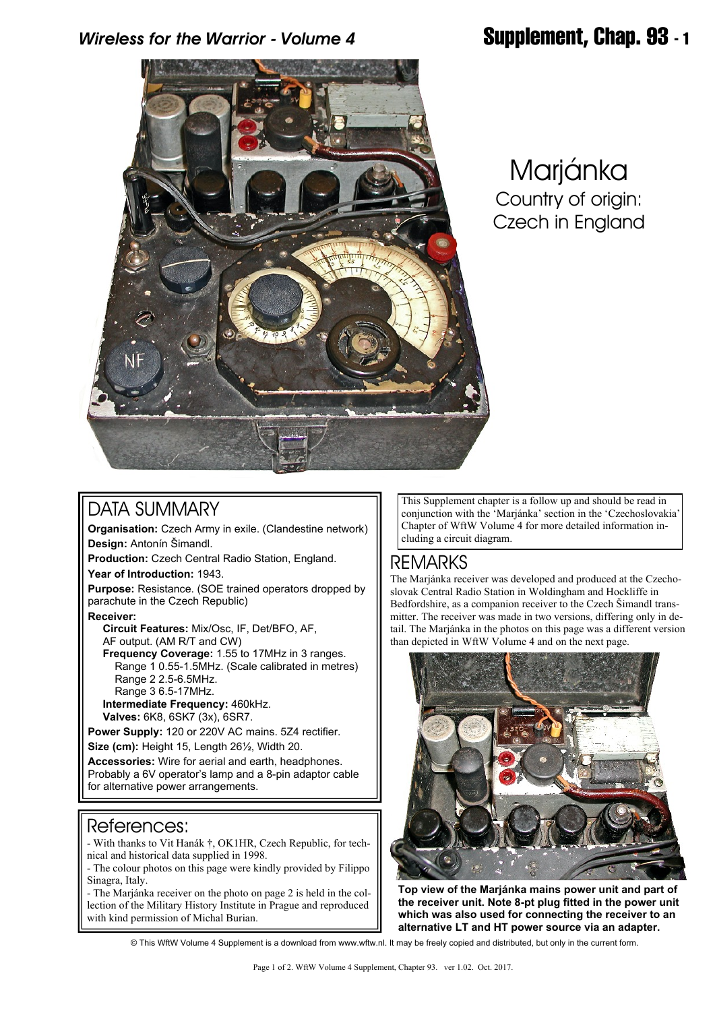## *Wireless for the Warrior - Volume 4* **Supplement, Chap. 93 - 1**



# Marjánka Country of origin: Czech in England

### DATA SUMMARY

**Organisation:** Czech Army in exile. (Clandestine network) **Design:** Antonín Šimandl.

**Production:** Czech Central Radio Station, England.

**Year of Introduction:** 1943.

**Purpose:** Resistance. (SOE trained operators dropped by parachute in the Czech Republic)

**Receiver:**

 **Circuit Features:** Mix/Osc, IF, Det/BFO, AF, AF output. (AM R/T and CW)

 **Frequency Coverage:** 1.55 to 17MHz in 3 ranges. Range 1 0.55-1.5MHz. (Scale calibrated in metres) Range 2 2.5-6.5MHz. Range 3 6.5-17MHz.

 **Intermediate Frequency:** 460kHz.  **Valves:** 6K8, 6SK7 (3x), 6SR7.

**Power Supply:** 120 or 220V AC mains. 5Z4 rectifier. **Size (cm):** Height 15, Length 26½, Width 20.

**Accessories:** Wire for aerial and earth, headphones. Probably a 6V operator's lamp and a 8-pin adaptor cable for alternative power arrangements.

#### References:

- With thanks to Vit Hanák †, OK1HR, Czech Republic, for technical and historical data supplied in 1998.

- The colour photos on this page were kindly provided by Filippo Sinagra, Italy.

- The Marjánka receiver on the photo on page 2 is held in the collection of the Military History Institute in Prague and reproduced with kind permission of Michal Burian.

This Supplement chapter is a follow up and should be read in conjunction with the 'Marjánka' section in the 'Czechoslovakia' Chapter of WftW Volume 4 for more detailed information including a circuit diagram.

## REMARKS

The Marjánka receiver was developed and produced at the Czechoslovak Central Radio Station in Woldingham and Hockliffe in Bedfordshire, as a companion receiver to the Czech Šimandl transmitter. The receiver was made in two versions, differing only in detail. The Marjánka in the photos on this page was a different version than depicted in WftW Volume 4 and on the next page.



**Top view of the Marjánka mains power unit and part of the receiver unit. Note 8-pt plug fitted in the power unit which was also used for connecting the receiver to an alternative LT and HT power source via an adapter.**

© This WftW Volume 4 Supplement is a download from www.wftw.nl. It may be freely copied and distributed, but only in the current form.